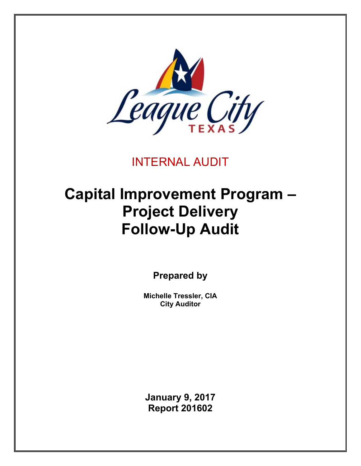

INTERNAL AUDIT

# **Capital Improvement Program – Project Delivery Follow-Up Audit**

**Prepared by** 

**Michelle Tressler, CIA City Auditor** 

**January 9, 2017 Report 201602**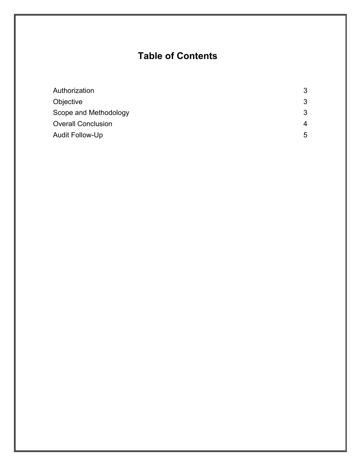## **Table of Contents**

| Authorization             | 3 |
|---------------------------|---|
| Objective                 | 3 |
| Scope and Methodology     | 3 |
| <b>Overall Conclusion</b> | 4 |
| Audit Follow-Up           | 5 |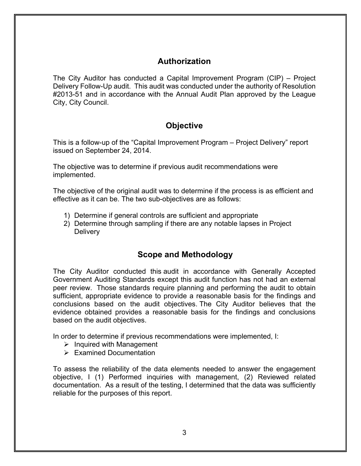## **Authorization**

The City Auditor has conducted a Capital Improvement Program (CIP) – Project Delivery Follow-Up audit. This audit was conducted under the authority of Resolution #2013-51 and in accordance with the Annual Audit Plan approved by the League City, City Council.

## **Objective**

This is a follow-up of the "Capital Improvement Program – Project Delivery" report issued on September 24, 2014.

The objective was to determine if previous audit recommendations were implemented.

The objective of the original audit was to determine if the process is as efficient and effective as it can be. The two sub-objectives are as follows:

- 1) Determine if general controls are sufficient and appropriate
- 2) Determine through sampling if there are any notable lapses in Project **Delivery**

## **Scope and Methodology**

The City Auditor conducted this audit in accordance with Generally Accepted Government Auditing Standards except this audit function has not had an external peer review. Those standards require planning and performing the audit to obtain sufficient, appropriate evidence to provide a reasonable basis for the findings and conclusions based on the audit objectives. The City Auditor believes that the evidence obtained provides a reasonable basis for the findings and conclusions based on the audit objectives.

In order to determine if previous recommendations were implemented, I:

- $\triangleright$  Inquired with Management
- $\triangleright$  Examined Documentation

To assess the reliability of the data elements needed to answer the engagement objective, I (1) Performed inquiries with management, (2) Reviewed related documentation. As a result of the testing, I determined that the data was sufficiently reliable for the purposes of this report.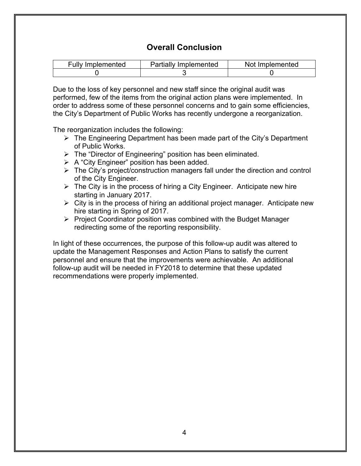## **Overall Conclusion**

| <b>Fully Implemented</b> | <b>Partially Implemented</b> | Not Implemented |
|--------------------------|------------------------------|-----------------|
|                          |                              |                 |

Due to the loss of key personnel and new staff since the original audit was performed, few of the items from the original action plans were implemented. In order to address some of these personnel concerns and to gain some efficiencies, the City's Department of Public Works has recently undergone a reorganization.

The reorganization includes the following:

- $\triangleright$  The Engineering Department has been made part of the City's Department of Public Works.
- $\triangleright$  The "Director of Engineering" position has been eliminated.
- $\triangleright$  A "City Engineer" position has been added.
- $\triangleright$  The City's project/construction managers fall under the direction and control of the City Engineer.
- $\triangleright$  The City is in the process of hiring a City Engineer. Anticipate new hire starting in January 2017.
- $\triangleright$  City is in the process of hiring an additional project manager. Anticipate new hire starting in Spring of 2017.
- $\triangleright$  Project Coordinator position was combined with the Budget Manager redirecting some of the reporting responsibility.

In light of these occurrences, the purpose of this follow-up audit was altered to update the Management Responses and Action Plans to satisfy the current personnel and ensure that the improvements were achievable. An additional follow-up audit will be needed in FY2018 to determine that these updated recommendations were properly implemented.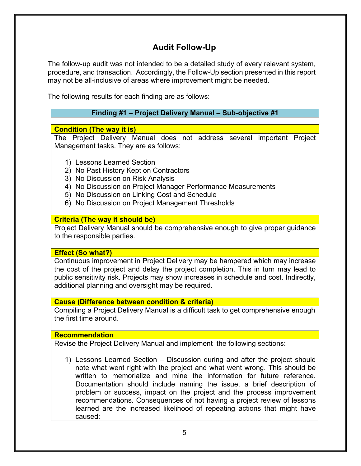## **Audit Follow-Up**

The follow-up audit was not intended to be a detailed study of every relevant system, procedure, and transaction. Accordingly, the Follow-Up section presented in this report may not be all-inclusive of areas where improvement might be needed.

The following results for each finding are as follows:

#### **Finding #1 – Project Delivery Manual – Sub-objective #1**

#### **Condition (The way it is)**

The Project Delivery Manual does not address several important Project Management tasks. They are as follows:

- 1) Lessons Learned Section
- 2) No Past History Kept on Contractors
- 3) No Discussion on Risk Analysis
- 4) No Discussion on Project Manager Performance Measurements
- 5) No Discussion on Linking Cost and Schedule
- 6) No Discussion on Project Management Thresholds

#### **Criteria (The way it should be)**

Project Delivery Manual should be comprehensive enough to give proper guidance to the responsible parties.

#### **Effect (So what?)**

Continuous improvement in Project Delivery may be hampered which may increase the cost of the project and delay the project completion. This in turn may lead to public sensitivity risk. Projects may show increases in schedule and cost. Indirectly, additional planning and oversight may be required.

#### **Cause (Difference between condition & criteria)**

Compiling a Project Delivery Manual is a difficult task to get comprehensive enough the first time around.

#### **Recommendation**

Revise the Project Delivery Manual and implement the following sections:

1) Lessons Learned Section – Discussion during and after the project should note what went right with the project and what went wrong. This should be written to memorialize and mine the information for future reference. Documentation should include naming the issue, a brief description of problem or success, impact on the project and the process improvement recommendations. Consequences of not having a project review of lessons learned are the increased likelihood of repeating actions that might have caused: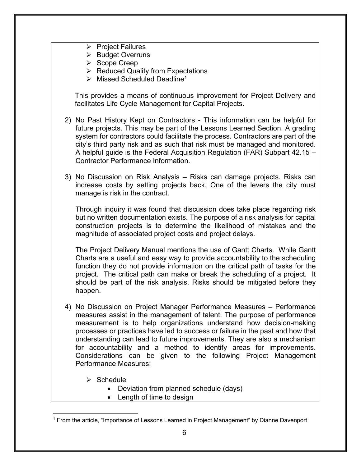- $\triangleright$  Project Failures
- $\triangleright$  Budget Overruns
- $\triangleright$  Scope Creep
- $\triangleright$  Reduced Quality from Expectations
- $\triangleright$  Missed Scheduled Deadline<sup>1</sup>

This provides a means of continuous improvement for Project Delivery and facilitates Life Cycle Management for Capital Projects.

- 2) No Past History Kept on Contractors This information can be helpful for future projects. This may be part of the Lessons Learned Section. A grading system for contractors could facilitate the process. Contractors are part of the city's third party risk and as such that risk must be managed and monitored. A helpful guide is the Federal Acquisition Regulation (FAR) Subpart 42.15 – Contractor Performance Information.
- 3) No Discussion on Risk Analysis Risks can damage projects. Risks can increase costs by setting projects back. One of the levers the city must manage is risk in the contract.

Through inquiry it was found that discussion does take place regarding risk but no written documentation exists. The purpose of a risk analysis for capital construction projects is to determine the likelihood of mistakes and the magnitude of associated project costs and project delays.

The Project Delivery Manual mentions the use of Gantt Charts. While Gantt Charts are a useful and easy way to provide accountability to the scheduling function they do not provide information on the critical path of tasks for the project. The critical path can make or break the scheduling of a project. It should be part of the risk analysis. Risks should be mitigated before they happen.

- 4) No Discussion on Project Manager Performance Measures Performance measures assist in the management of talent. The purpose of performance measurement is to help organizations understand how decision-making processes or practices have led to success or failure in the past and how that understanding can lead to future improvements. They are also a mechanism for accountability and a method to identify areas for improvements. Considerations can be given to the following Project Management Performance Measures:
	- $\triangleright$  Schedule

 $\overline{a}$ 

- Deviation from planned schedule (days)
- Length of time to design

<sup>1</sup> From the article, "Importance of Lessons Learned in Project Management" by Dianne Davenport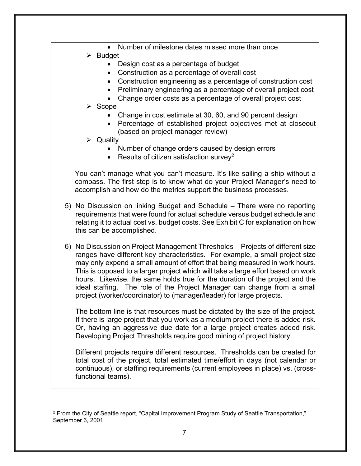- Number of milestone dates missed more than once
- $\triangleright$  Budget
	- Design cost as a percentage of budget
	- Construction as a percentage of overall cost
	- Construction engineering as a percentage of construction cost
	- Preliminary engineering as a percentage of overall project cost
	- Change order costs as a percentage of overall project cost
- $\triangleright$  Scope
	- Change in cost estimate at 30, 60, and 90 percent design
	- Percentage of established project objectives met at closeout (based on project manager review)
- $\triangleright$  Quality

 $\overline{a}$ 

- Number of change orders caused by design errors
- Results of citizen satisfaction survey<sup>2</sup>

You can't manage what you can't measure. It's like sailing a ship without a compass. The first step is to know what do your Project Manager's need to accomplish and how do the metrics support the business processes.

- 5) No Discussion on linking Budget and Schedule There were no reporting requirements that were found for actual schedule versus budget schedule and relating it to actual cost vs. budget costs. See Exhibit C for explanation on how this can be accomplished.
- 6) No Discussion on Project Management Thresholds Projects of different size ranges have different key characteristics. For example, a small project size may only expend a small amount of effort that being measured in work hours. This is opposed to a larger project which will take a large effort based on work hours. Likewise, the same holds true for the duration of the project and the ideal staffing. The role of the Project Manager can change from a small project (worker/coordinator) to (manager/leader) for large projects.

The bottom line is that resources must be dictated by the size of the project. If there is large project that you work as a medium project there is added risk. Or, having an aggressive due date for a large project creates added risk. Developing Project Thresholds require good mining of project history.

Different projects require different resources. Thresholds can be created for total cost of the project, total estimated time/effort in days (not calendar or continuous), or staffing requirements (current employees in place) vs. (crossfunctional teams).

<sup>&</sup>lt;sup>2</sup> From the City of Seattle report, "Capital Improvement Program Study of Seattle Transportation," September 6, 2001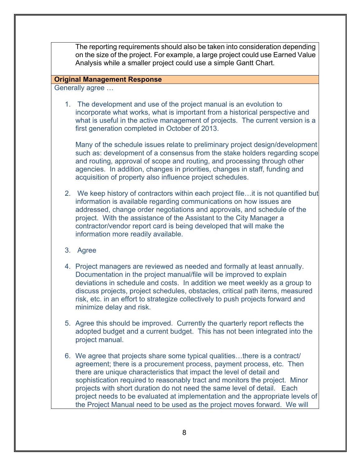The reporting requirements should also be taken into consideration depending on the size of the project. For example, a large project could use Earned Value Analysis while a smaller project could use a simple Gantt Chart.

#### **Original Management Response**

Generally agree …

1. The development and use of the project manual is an evolution to incorporate what works, what is important from a historical perspective and what is useful in the active management of projects. The current version is a first generation completed in October of 2013.

Many of the schedule issues relate to preliminary project design/development such as: development of a consensus from the stake holders regarding scope and routing, approval of scope and routing, and processing through other agencies. In addition, changes in priorities, changes in staff, funding and acquisition of property also influence project schedules.

- 2. We keep history of contractors within each project file…it is not quantified but information is available regarding communications on how issues are addressed, change order negotiations and approvals, and schedule of the project. With the assistance of the Assistant to the City Manager a contractor/vendor report card is being developed that will make the information more readily available.
- 3. Agree
- 4. Project managers are reviewed as needed and formally at least annually. Documentation in the project manual/file will be improved to explain deviations in schedule and costs. In addition we meet weekly as a group to discuss projects, project schedules, obstacles, critical path items, measured risk, etc. in an effort to strategize collectively to push projects forward and minimize delay and risk.
- 5. Agree this should be improved. Currently the quarterly report reflects the adopted budget and a current budget. This has not been integrated into the project manual.
- 6. We agree that projects share some typical qualities…there is a contract/ agreement; there is a procurement process, payment process, etc. Then there are unique characteristics that impact the level of detail and sophistication required to reasonably tract and monitors the project. Minor projects with short duration do not need the same level of detail. Each project needs to be evaluated at implementation and the appropriate levels of the Project Manual need to be used as the project moves forward. We will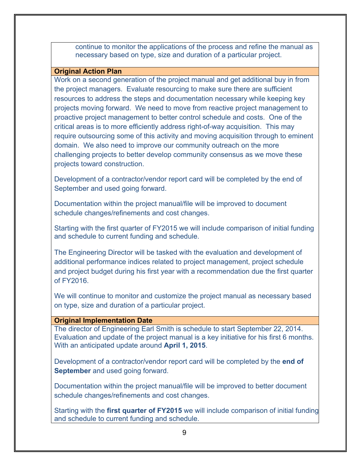continue to monitor the applications of the process and refine the manual as necessary based on type, size and duration of a particular project.

#### **Original Action Plan**

Work on a second generation of the project manual and get additional buy in from the project managers. Evaluate resourcing to make sure there are sufficient resources to address the steps and documentation necessary while keeping key projects moving forward. We need to move from reactive project management to proactive project management to better control schedule and costs. One of the critical areas is to more efficiently address right-of-way acquisition. This may require outsourcing some of this activity and moving acquisition through to eminent domain. We also need to improve our community outreach on the more challenging projects to better develop community consensus as we move these projects toward construction.

Development of a contractor/vendor report card will be completed by the end of September and used going forward.

Documentation within the project manual/file will be improved to document schedule changes/refinements and cost changes.

Starting with the first quarter of FY2015 we will include comparison of initial funding and schedule to current funding and schedule.

The Engineering Director will be tasked with the evaluation and development of additional performance indices related to project management, project schedule and project budget during his first year with a recommendation due the first quarter of FY2016.

We will continue to monitor and customize the project manual as necessary based on type, size and duration of a particular project.

#### **Original Implementation Date**

The director of Engineering Earl Smith is schedule to start September 22, 2014. Evaluation and update of the project manual is a key initiative for his first 6 months. With an anticipated update around **April 1, 2015**.

Development of a contractor/vendor report card will be completed by the **end of September** and used going forward.

Documentation within the project manual/file will be improved to better document schedule changes/refinements and cost changes.

Starting with the **first quarter of FY2015** we will include comparison of initial funding and schedule to current funding and schedule.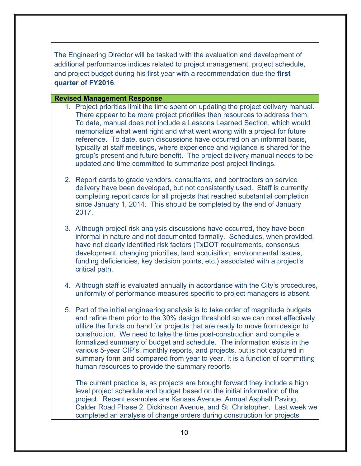The Engineering Director will be tasked with the evaluation and development of additional performance indices related to project management, project schedule, and project budget during his first year with a recommendation due the **first quarter of FY2016**.

#### **Revised Management Response**

- 1. Project priorities limit the time spent on updating the project delivery manual. There appear to be more project priorities then resources to address them. To date, manual does not include a Lessons Learned Section, which would memorialize what went right and what went wrong with a project for future reference. To date, such discussions have occurred on an informal basis, typically at staff meetings, where experience and vigilance is shared for the group's present and future benefit. The project delivery manual needs to be updated and time committed to summarize post project findings.
- 2. Report cards to grade vendors, consultants, and contractors on service delivery have been developed, but not consistently used. Staff is currently completing report cards for all projects that reached substantial completion since January 1, 2014. This should be completed by the end of January 2017.
- 3. Although project risk analysis discussions have occurred, they have been informal in nature and not documented formally. Schedules, when provided, have not clearly identified risk factors (TxDOT requirements, consensus development, changing priorities, land acquisition, environmental issues, funding deficiencies, key decision points, etc.) associated with a project's critical path.
- 4. Although staff is evaluated annually in accordance with the City's procedures, uniformity of performance measures specific to project managers is absent.
- 5. Part of the initial engineering analysis is to take order of magnitude budgets and refine them prior to the 30% design threshold so we can most effectively utilize the funds on hand for projects that are ready to move from design to construction. We need to take the time post-construction and compile a formalized summary of budget and schedule. The information exists in the various 5-year CIP's, monthly reports, and projects, but is not captured in summary form and compared from year to year. It is a function of committing human resources to provide the summary reports.

The current practice is, as projects are brought forward they include a high level project schedule and budget based on the initial information of the project. Recent examples are Kansas Avenue, Annual Asphalt Paving, Calder Road Phase 2, Dickinson Avenue, and St. Christopher. Last week we completed an analysis of change orders during construction for projects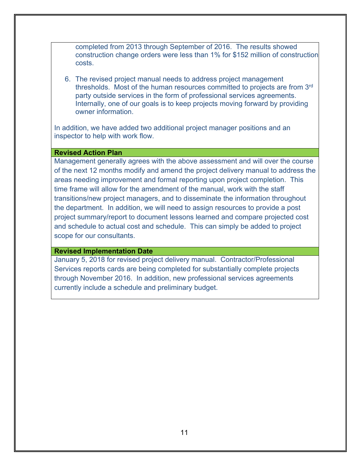completed from 2013 through September of 2016. The results showed construction change orders were less than 1% for \$152 million of construction costs.

6. The revised project manual needs to address project management thresholds. Most of the human resources committed to projects are from 3rd party outside services in the form of professional services agreements. Internally, one of our goals is to keep projects moving forward by providing owner information.

In addition, we have added two additional project manager positions and an inspector to help with work flow.

#### **Revised Action Plan**

Management generally agrees with the above assessment and will over the course of the next 12 months modify and amend the project delivery manual to address the areas needing improvement and formal reporting upon project completion. This time frame will allow for the amendment of the manual, work with the staff transitions/new project managers, and to disseminate the information throughout the department. In addition, we will need to assign resources to provide a post project summary/report to document lessons learned and compare projected cost and schedule to actual cost and schedule. This can simply be added to project scope for our consultants.

#### **Revised Implementation Date**

January 5, 2018 for revised project delivery manual. Contractor/Professional Services reports cards are being completed for substantially complete projects through November 2016. In addition, new professional services agreements currently include a schedule and preliminary budget.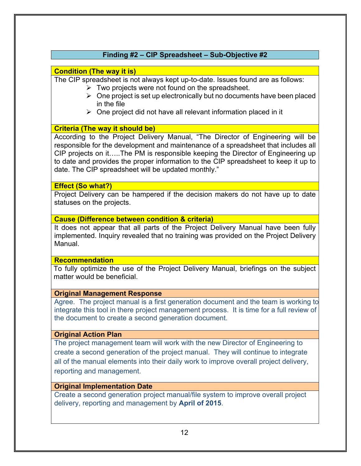### **Finding #2 – CIP Spreadsheet – Sub-Objective #2**

#### **Condition (The way it is)**

The CIP spreadsheet is not always kept up-to-date. Issues found are as follows:

- $\triangleright$  Two projects were not found on the spreadsheet.
- $\triangleright$  One project is set up electronically but no documents have been placed in the file
- $\triangleright$  One project did not have all relevant information placed in it

#### **Criteria (The way it should be)**

According to the Project Delivery Manual, "The Director of Engineering will be responsible for the development and maintenance of a spreadsheet that includes all CIP projects on it…..The PM is responsible keeping the Director of Engineering up to date and provides the proper information to the CIP spreadsheet to keep it up to date. The CIP spreadsheet will be updated monthly."

#### **Effect (So what?)**

Project Delivery can be hampered if the decision makers do not have up to date statuses on the projects.

#### **Cause (Difference between condition & criteria)**

It does not appear that all parts of the Project Delivery Manual have been fully implemented. Inquiry revealed that no training was provided on the Project Delivery Manual.

#### **Recommendation**

To fully optimize the use of the Project Delivery Manual, briefings on the subject matter would be beneficial.

#### **Original Management Response**

Agree. The project manual is a first generation document and the team is working to integrate this tool in there project management process. It is time for a full review of the document to create a second generation document.

#### **Original Action Plan**

The project management team will work with the new Director of Engineering to create a second generation of the project manual. They will continue to integrate all of the manual elements into their daily work to improve overall project delivery, reporting and management.

#### **Original Implementation Date**

Create a second generation project manual/file system to improve overall project delivery, reporting and management by **April of 2015**.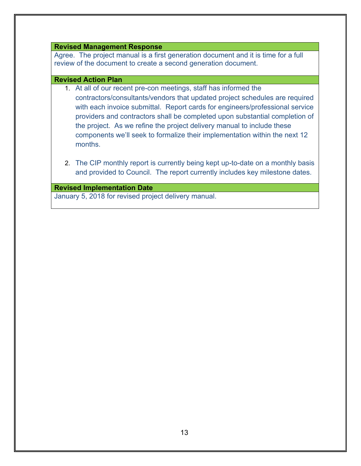#### **Revised Management Response**

Agree. The project manual is a first generation document and it is time for a full review of the document to create a second generation document.

#### **Revised Action Plan**

- 1. At all of our recent pre-con meetings, staff has informed the contractors/consultants/vendors that updated project schedules are required with each invoice submittal. Report cards for engineers/professional service providers and contractors shall be completed upon substantial completion of the project. As we refine the project delivery manual to include these components we'll seek to formalize their implementation within the next 12 months.
- 2. The CIP monthly report is currently being kept up-to-date on a monthly basis and provided to Council. The report currently includes key milestone dates.

**Revised Implementation Date**  January 5, 2018 for revised project delivery manual.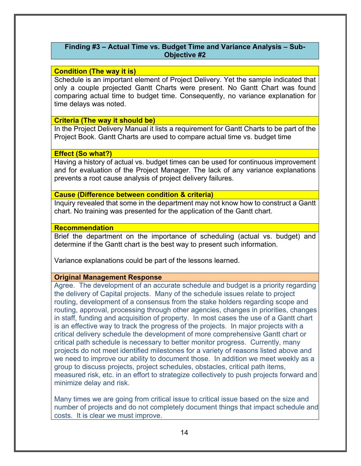#### **Finding #3 – Actual Time vs. Budget Time and Variance Analysis – Sub-Objective #2**

#### **Condition (The way it is)**

Schedule is an important element of Project Delivery. Yet the sample indicated that only a couple projected Gantt Charts were present. No Gantt Chart was found comparing actual time to budget time. Consequently, no variance explanation for time delays was noted.

#### **Criteria (The way it should be)**

In the Project Delivery Manual it lists a requirement for Gantt Charts to be part of the Project Book. Gantt Charts are used to compare actual time vs. budget time

#### **Effect (So what?)**

Having a history of actual vs. budget times can be used for continuous improvement and for evaluation of the Project Manager. The lack of any variance explanations prevents a root cause analysis of project delivery failures.

#### **Cause (Difference between condition & criteria)**

Inquiry revealed that some in the department may not know how to construct a Gantt chart. No training was presented for the application of the Gantt chart.

#### **Recommendation**

Brief the department on the importance of scheduling (actual vs. budget) and determine if the Gantt chart is the best way to present such information.

Variance explanations could be part of the lessons learned.

#### **Original Management Response**

Agree. The development of an accurate schedule and budget is a priority regarding the delivery of Capital projects. Many of the schedule issues relate to project routing, development of a consensus from the stake holders regarding scope and routing, approval, processing through other agencies, changes in priorities, changes in staff, funding and acquisition of property. In most cases the use of a Gantt chart is an effective way to track the progress of the projects. In major projects with a critical delivery schedule the development of more comprehensive Gantt chart or critical path schedule is necessary to better monitor progress. Currently, many projects do not meet identified milestones for a variety of reasons listed above and we need to improve our ability to document those. In addition we meet weekly as a group to discuss projects, project schedules, obstacles, critical path items, measured risk, etc. in an effort to strategize collectively to push projects forward and minimize delay and risk.

Many times we are going from critical issue to critical issue based on the size and number of projects and do not completely document things that impact schedule and costs. It is clear we must improve.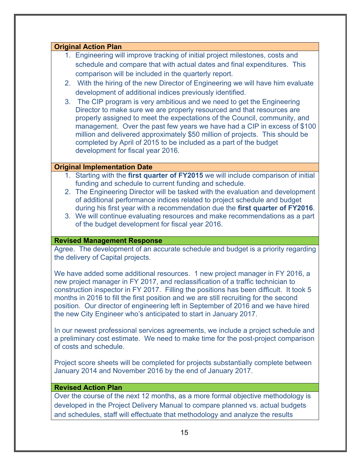#### **Original Action Plan**

- 1. Engineering will improve tracking of initial project milestones, costs and schedule and compare that with actual dates and final expenditures. This comparison will be included in the quarterly report.
- 2. With the hiring of the new Director of Engineering we will have him evaluate development of additional indices previously identified.
- 3. The CIP program is very ambitious and we need to get the Engineering Director to make sure we are properly resourced and that resources are properly assigned to meet the expectations of the Council, community, and management. Over the past few years we have had a CIP in excess of \$100 million and delivered approximately \$50 million of projects. This should be completed by April of 2015 to be included as a part of the budget development for fiscal year 2016.

#### **Original Implementation Date**

- 1. Starting with the **first quarter of FY2015** we will include comparison of initial funding and schedule to current funding and schedule.
- 2. The Engineering Director will be tasked with the evaluation and development of additional performance indices related to project schedule and budget during his first year with a recommendation due the **first quarter of FY2016**.
- 3. We will continue evaluating resources and make recommendations as a part of the budget development for fiscal year 2016.

#### **Revised Management Response**

Agree. The development of an accurate schedule and budget is a priority regarding the delivery of Capital projects.

We have added some additional resources. 1 new project manager in FY 2016, a new project manager in FY 2017, and reclassification of a traffic technician to construction inspector in FY 2017. Filling the positions has been difficult. It took 5 months in 2016 to fill the first position and we are still recruiting for the second position. Our director of engineering left in September of 2016 and we have hired the new City Engineer who's anticipated to start in January 2017.

In our newest professional services agreements, we include a project schedule and a preliminary cost estimate. We need to make time for the post-project comparison of costs and schedule.

Project score sheets will be completed for projects substantially complete between January 2014 and November 2016 by the end of January 2017.

#### **Revised Action Plan**

Over the course of the next 12 months, as a more formal objective methodology is developed in the Project Delivery Manual to compare planned vs. actual budgets and schedules, staff will effectuate that methodology and analyze the results